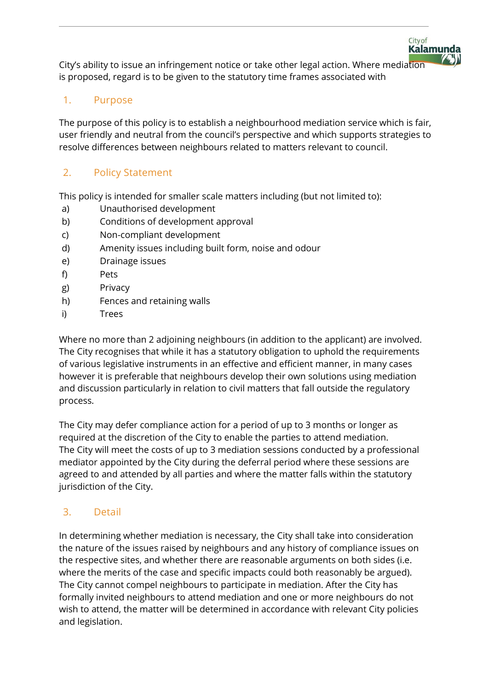City's ability to issue an infringement notice or take other legal action. Where mediation is proposed, regard is to be given to the statutory time frames associated with

City of

**Kalamunda** 

## 1. Purpose

The purpose of this policy is to establish a neighbourhood mediation service which is fair, user friendly and neutral from the council's perspective and which supports strategies to resolve differences between neighbours related to matters relevant to council.

## 2. Policy Statement

This policy is intended for smaller scale matters including (but not limited to):

- a) Unauthorised development
- b) Conditions of development approval
- c) Non-compliant development
- d) Amenity issues including built form, noise and odour
- e) Drainage issues
- f) Pets
- g) Privacy
- h) Fences and retaining walls
- i) Trees

Where no more than 2 adjoining neighbours (in addition to the applicant) are involved. The City recognises that while it has a statutory obligation to uphold the requirements of various legislative instruments in an effective and efficient manner, in many cases however it is preferable that neighbours develop their own solutions using mediation and discussion particularly in relation to civil matters that fall outside the regulatory process.

The City may defer compliance action for a period of up to 3 months or longer as required at the discretion of the City to enable the parties to attend mediation. The City will meet the costs of up to 3 mediation sessions conducted by a professional mediator appointed by the City during the deferral period where these sessions are agreed to and attended by all parties and where the matter falls within the statutory jurisdiction of the City.

# 3. Detail

In determining whether mediation is necessary, the City shall take into consideration the nature of the issues raised by neighbours and any history of compliance issues on the respective sites, and whether there are reasonable arguments on both sides (i.e. where the merits of the case and specific impacts could both reasonably be argued). The City cannot compel neighbours to participate in mediation. After the City has formally invited neighbours to attend mediation and one or more neighbours do not wish to attend, the matter will be determined in accordance with relevant City policies and legislation.